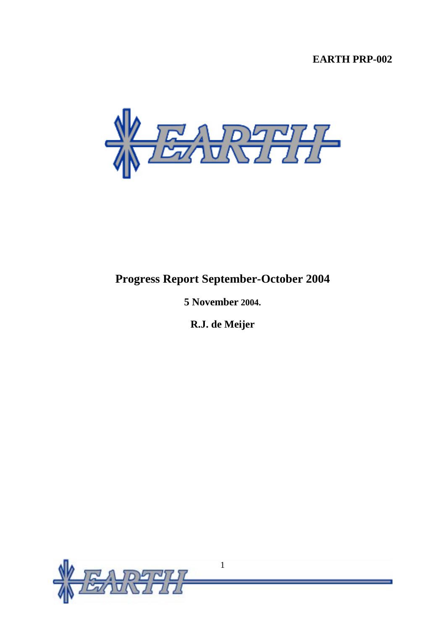# **EARTH PRP-002**



# **Progress Report September-October 2004**

**5 November 2004.** 

**R.J. de Meijer**

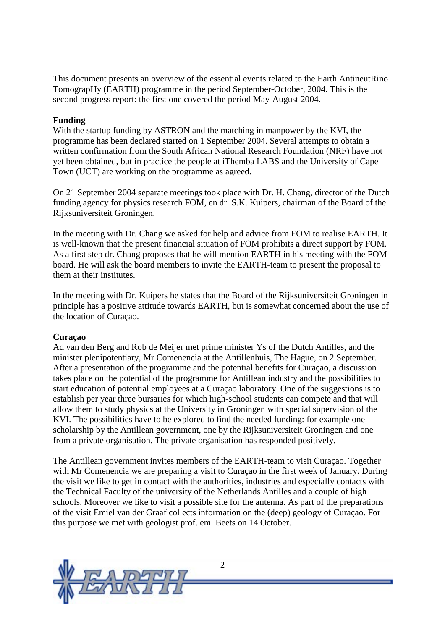This document presents an overview of the essential events related to the Earth AntineutRino TomograpHy (EARTH) programme in the period September-October, 2004. This is the second progress report: the first one covered the period May-August 2004.

#### **Funding**

With the startup funding by ASTRON and the matching in manpower by the KVI, the programme has been declared started on 1 September 2004. Several attempts to obtain a written confirmation from the South African National Research Foundation (NRF) have not yet been obtained, but in practice the people at iThemba LABS and the University of Cape Town (UCT) are working on the programme as agreed.

On 21 September 2004 separate meetings took place with Dr. H. Chang, director of the Dutch funding agency for physics research FOM, en dr. S.K. Kuipers, chairman of the Board of the Rijksuniversiteit Groningen.

In the meeting with Dr. Chang we asked for help and advice from FOM to realise EARTH. It is well-known that the present financial situation of FOM prohibits a direct support by FOM. As a first step dr. Chang proposes that he will mention EARTH in his meeting with the FOM board. He will ask the board members to invite the EARTH-team to present the proposal to them at their institutes.

In the meeting with Dr. Kuipers he states that the Board of the Rijksuniversiteit Groningen in principle has a positive attitude towards EARTH, but is somewhat concerned about the use of the location of Curaçao.

#### **Curaçao**

Ad van den Berg and Rob de Meijer met prime minister Ys of the Dutch Antilles, and the minister plenipotentiary, Mr Comenencia at the Antillenhuis, The Hague, on 2 September. After a presentation of the programme and the potential benefits for Curaçao, a discussion takes place on the potential of the programme for Antillean industry and the possibilities to start education of potential employees at a Curaçao laboratory. One of the suggestions is to establish per year three bursaries for which high-school students can compete and that will allow them to study physics at the University in Groningen with special supervision of the KVI. The possibilities have to be explored to find the needed funding: for example one scholarship by the Antillean government, one by the Rijksuniversiteit Groningen and one from a private organisation. The private organisation has responded positively.

The Antillean government invites members of the EARTH-team to visit Curaçao. Together with Mr Comenencia we are preparing a visit to Curaçao in the first week of January. During the visit we like to get in contact with the authorities, industries and especially contacts with the Technical Faculty of the university of the Netherlands Antilles and a couple of high schools. Moreover we like to visit a possible site for the antenna. As part of the preparations of the visit Emiel van der Graaf collects information on the (deep) geology of Curaçao. For this purpose we met with geologist prof. em. Beets on 14 October.

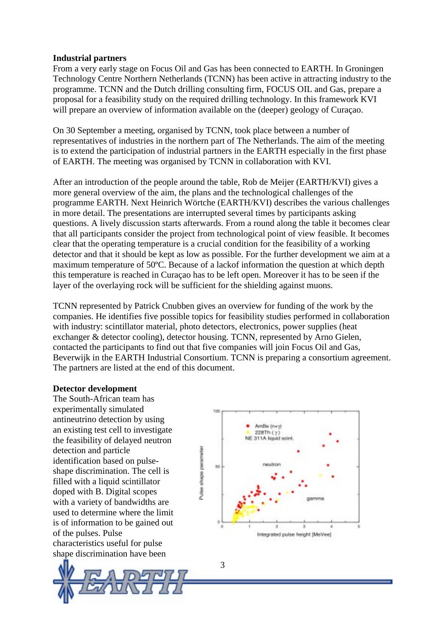#### **Industrial partners**

From a very early stage on Focus Oil and Gas has been connected to EARTH. In Groningen Technology Centre Northern Netherlands (TCNN) has been active in attracting industry to the programme. TCNN and the Dutch drilling consulting firm, FOCUS OIL and Gas, prepare a proposal for a feasibility study on the required drilling technology. In this framework KVI will prepare an overview of information available on the (deeper) geology of Curaçao.

On 30 September a meeting, organised by TCNN, took place between a number of representatives of industries in the northern part of The Netherlands. The aim of the meeting is to extend the participation of industrial partners in the EARTH especially in the first phase of EARTH. The meeting was organised by TCNN in collaboration with KVI.

After an introduction of the people around the table, Rob de Meijer (EARTH/KVI) gives a more general overview of the aim, the plans and the technological challenges of the programme EARTH. Next Heinrich Wörtche (EARTH/KVI) describes the various challenges in more detail. The presentations are interrupted several times by participants asking questions. A lively discussion starts afterwards. From a round along the table it becomes clear that all participants consider the project from technological point of view feasible. It becomes clear that the operating temperature is a crucial condition for the feasibility of a working detector and that it should be kept as low as possible. For the further development we aim at a maximum temperature of 50ºC. Because of a lackof information the question at which depth this temperature is reached in Curaçao has to be left open. Moreover it has to be seen if the layer of the overlaying rock will be sufficient for the shielding against muons.

TCNN represented by Patrick Cnubben gives an overview for funding of the work by the companies. He identifies five possible topics for feasibility studies performed in collaboration with industry: scintillator material, photo detectors, electronics, power supplies (heat exchanger & detector cooling), detector housing. TCNN, represented by Arno Gielen, contacted the participants to find out that five companies will join Focus Oil and Gas, Beverwijk in the EARTH Industrial Consortium. TCNN is preparing a consortium agreement. The partners are listed at the end of this document.

3

#### **Detector development**

The South-African team has experimentally simulated antineutrino detection by using an existing test cell to investigate the feasibility of delayed neutron detection and particle identification based on pulseshape discrimination. The cell is filled with a liquid scintillator doped with B. Digital scopes with a variety of bandwidths are used to determine where the limit is of information to be gained out of the pulses. Pulse characteristics useful for pulse shape discrimination have been



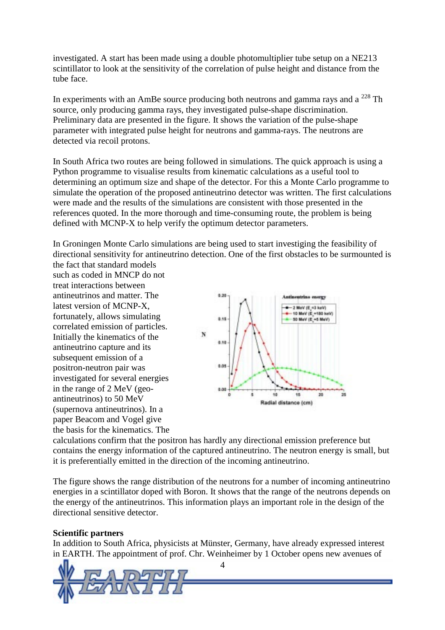investigated. A start has been made using a double photomultiplier tube setup on a NE213 scintillator to look at the sensitivity of the correlation of pulse height and distance from the tube face.

In experiments with an AmBe source producing both neutrons and gamma rays and a  $^{228}$  Th source, only producing gamma rays, they investigated pulse-shape discrimination. Preliminary data are presented in the figure. It shows the variation of the pulse-shape parameter with integrated pulse height for neutrons and gamma-rays. The neutrons are detected via recoil protons.

In South Africa two routes are being followed in simulations. The quick approach is using a Python programme to visualise results from kinematic calculations as a useful tool to determining an optimum size and shape of the detector. For this a Monte Carlo programme to simulate the operation of the proposed antineutrino detector was written. The first calculations were made and the results of the simulations are consistent with those presented in the references quoted. In the more thorough and time-consuming route, the problem is being defined with MCNP-X to help verify the optimum detector parameters.

In Groningen Monte Carlo simulations are being used to start investiging the feasibility of directional sensitivity for antineutrino detection. One of the first obstacles to be surmounted is the fact that standard models

such as coded in MNCP do not treat interactions between antineutrinos and matter. The latest version of MCNP-X, fortunately, allows simulating correlated emission of particles. Initially the kinematics of the antineutrino capture and its subsequent emission of a positron-neutron pair was investigated for several energies in the range of 2 MeV (geoantineutrinos) to 50 MeV (supernova antineutrinos). In a paper Beacom and Vogel give the basis for the kinematics. The



calculations confirm that the positron has hardly any directional emission preference but contains the energy information of the captured antineutrino. The neutron energy is small, but it is preferentially emitted in the direction of the incoming antineutrino.

The figure shows the range distribution of the neutrons for a number of incoming antineutrino energies in a scintillator doped with Boron. It shows that the range of the neutrons depends on the energy of the antineutrinos. This information plays an important role in the design of the directional sensitive detector.

#### **Scientific partners**

In addition to South Africa, physicists at Münster, Germany, have already expressed interest in EARTH. The appointment of prof. Chr. Weinheimer by 1 October opens new avenues of



4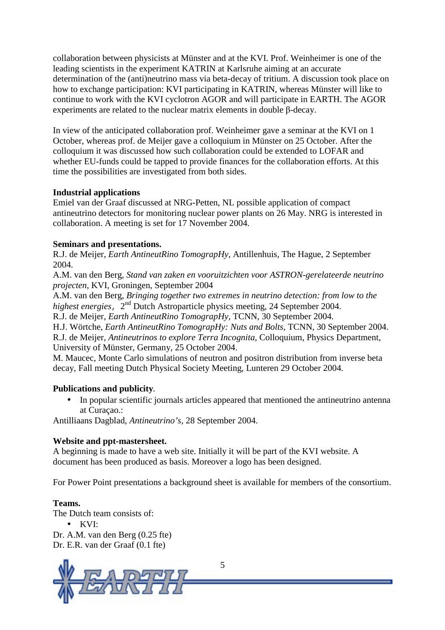collaboration between physicists at Münster and at the KVI. Prof. Weinheimer is one of the leading scientists in the experiment KATRIN at Karlsruhe aiming at an accurate determination of the (anti)neutrino mass via beta-decay of tritium. A discussion took place on how to exchange participation: KVI participating in KATRIN, whereas Münster will like to continue to work with the KVI cyclotron AGOR and will participate in EARTH. The AGOR experiments are related to the nuclear matrix elements in double  $\beta$ -decay.

In view of the anticipated collaboration prof. Weinheimer gave a seminar at the KVI on 1 October, whereas prof. de Meijer gave a colloquium in Münster on 25 October. After the colloquium it was discussed how such collaboration could be extended to LOFAR and whether EU-funds could be tapped to provide finances for the collaboration efforts. At this time the possibilities are investigated from both sides.

#### **Industrial applications**

Emiel van der Graaf discussed at NRG-Petten, NL possible application of compact antineutrino detectors for monitoring nuclear power plants on 26 May. NRG is interested in collaboration. A meeting is set for 17 November 2004.

# **Seminars and presentations.**

R.J. de Meijer, *Earth AntineutRino TomograpHy*, Antillenhuis, The Hague, 2 September 2004.

A.M. van den Berg, *Stand van zaken en vooruitzichten voor ASTRON-gerelateerde neutrino projecten*, KVI, Groningen, September 2004

A.M. van den Berg, *Bringing together two extremes in neutrino detection: from low to the highest energies*, 2<sup>nd</sup> Dutch Astroparticle physics meeting, 24 September 2004.

R.J. de Meijer, *Earth AntineutRino TomograpHy*, TCNN, 30 September 2004.

H.J. Wörtche, *Earth AntineutRino TomograpHy: Nuts and Bolts*, TCNN, 30 September 2004.

R.J. de Meijer, *Antineutrinos to explore Terra Incognita*, Colloquium, Physics Department, University of Münster, Germany, 25 October 2004.

M. Maucec, Monte Carlo simulations of neutron and positron distribution from inverse beta decay, Fall meeting Dutch Physical Society Meeting, Lunteren 29 October 2004.

# **Publications and publicity***.*

• In popular scientific journals articles appeared that mentioned the antineutrino antenna at Curaçao.:

Antilliaans Dagblad, *Antineutrino's,* 28 September 2004.

# **Website and ppt-mastersheet.**

A beginning is made to have a web site. Initially it will be part of the KVI website. A document has been produced as basis. Moreover a logo has been designed.

For Power Point presentations a background sheet is available for members of the consortium.

# **Teams.**

The Dutch team consists of: • KVI: Dr. A.M. van den Berg (0.25 fte) Dr. E.R. van der Graaf (0.1 fte)



5